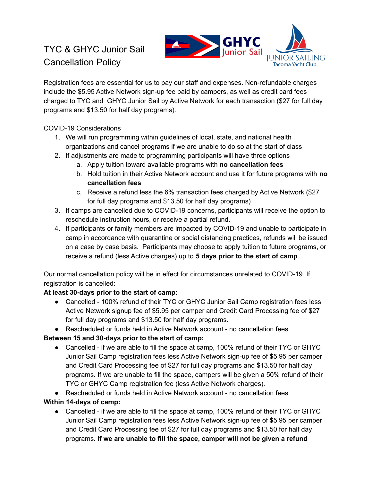# TYC & GHYC Junior Sail Cancellation Policy



Registration fees are essential for us to pay our staff and expenses. Non-refundable charges include the \$5.95 Active Network sign-up fee paid by campers, as well as credit card fees charged to TYC and GHYC Junior Sail by Active Network for each transaction (\$27 for full day programs and \$13.50 for half day programs).

### COVID-19 Considerations

- 1. We will run programming within guidelines of local, state, and national health organizations and cancel programs if we are unable to do so at the start of class
- 2. If adjustments are made to programming participants will have three options
	- a. Apply tuition toward available programs with **no cancellation fees**
	- b. Hold tuition in their Active Network account and use it for future programs with **no cancellation fees**
	- c. Receive a refund less the 6% transaction fees charged by Active Network (\$27 for full day programs and \$13.50 for half day programs)
- 3. If camps are cancelled due to COVID-19 concerns, participants will receive the option to reschedule instruction hours, or receive a partial refund.
- 4. If participants or family members are impacted by COVID-19 and unable to participate in camp in accordance with quarantine or social distancing practices, refunds will be issued on a case by case basis. Participants may choose to apply tuition to future programs, or receive a refund (less Active charges) up to **5 days prior to the start of camp**.

Our normal cancellation policy will be in effect for circumstances unrelated to COVID-19. If registration is cancelled:

## **At least 30-days prior to the start of camp:**

● Cancelled - 100% refund of their TYC or GHYC Junior Sail Camp registration fees less Active Network signup fee of \$5.95 per camper and Credit Card Processing fee of \$27 for full day programs and \$13.50 for half day programs.

● Rescheduled or funds held in Active Network account - no cancellation fees

## **Between 15 and 30-days prior to the start of camp:**

- Cancelled if we are able to fill the space at camp, 100% refund of their TYC or GHYC Junior Sail Camp registration fees less Active Network sign-up fee of \$5.95 per camper and Credit Card Processing fee of \$27 for full day programs and \$13.50 for half day programs. If we are unable to fill the space, campers will be given a 50% refund of their TYC or GHYC Camp registration fee (less Active Network charges).
- Rescheduled or funds held in Active Network account no cancellation fees

## **Within 14-days of camp:**

• Cancelled - if we are able to fill the space at camp, 100% refund of their TYC or GHYC Junior Sail Camp registration fees less Active Network sign-up fee of \$5.95 per camper and Credit Card Processing fee of \$27 for full day programs and \$13.50 for half day programs. **If we are unable to fill the space, camper will not be given a refund**